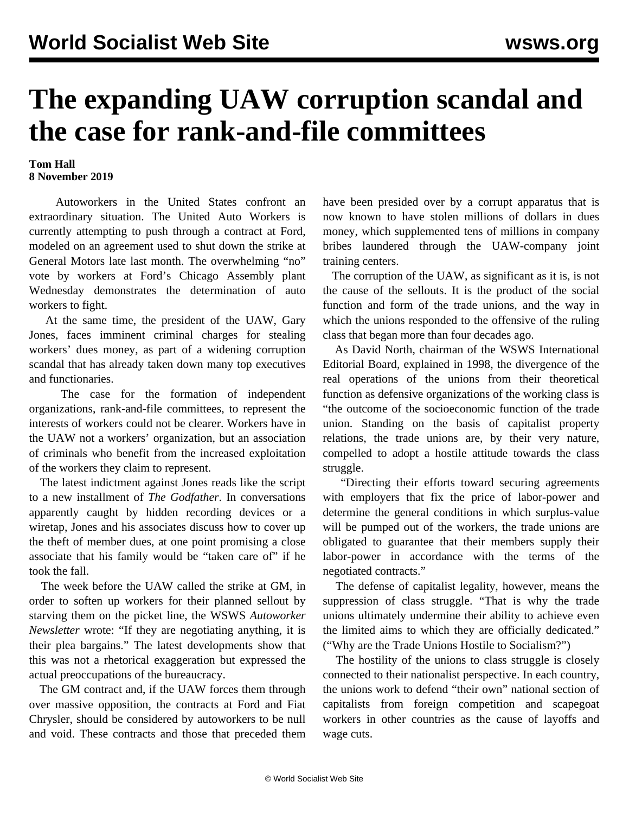## **The expanding UAW corruption scandal and the case for rank-and-file committees**

## **Tom Hall 8 November 2019**

 Autoworkers in the United States confront an extraordinary situation. The United Auto Workers is currently attempting to push through a contract at Ford, modeled on an agreement used to shut down the strike at General Motors late last month. The [overwhelming "no"](/en/articles/2019/11/07/chgo-n07.html) [vote](/en/articles/2019/11/07/chgo-n07.html) by workers at Ford's Chicago Assembly plant Wednesday demonstrates the determination of auto workers to fight.

 At the same time, the president of the UAW, Gary Jones, faces imminent criminal charges for stealing workers' dues money, as part of a widening corruption scandal that has already taken down many top executives and functionaries.

 The case for the formation of independent organizations, rank-and-file committees, to represent the interests of workers could not be clearer. Workers have in the UAW not a workers' organization, but an association of criminals who benefit from the increased exploitation of the workers they claim to represent.

 The [latest indictment](/en/articles/2019/11/05/jone-n05.html) against Jones reads like the script to a new installment of *The Godfather*. In conversations apparently caught by hidden recording devices or a wiretap, Jones and his associates discuss how to cover up the theft of member dues, at one point promising a close associate that his family would be "taken care of" if he took the fall.

 The week before the UAW called the strike at GM, in order to soften up workers for their planned sellout by starving them on the picket line, the WSWS *Autoworker Newsletter* [wrote](/en/articles/2019/09/11/meet-s11.html): "If they are negotiating anything, it is their plea bargains." The latest developments show that this was not a rhetorical exaggeration but expressed the actual preoccupations of the bureaucracy.

 The GM contract and, if the UAW forces them through over massive opposition, the contracts at Ford and Fiat Chrysler, should be considered by autoworkers to be null and void. These contracts and those that preceded them have been presided over by a corrupt apparatus that is now known to have stolen millions of dollars in dues money, which supplemented tens of millions in company bribes laundered through the UAW-company joint training centers.

 The corruption of the UAW, as significant as it is, is not the cause of the sellouts. It is the product of the social function and form of the trade unions, and the way in which the unions responded to the offensive of the ruling class that began more than four decades ago.

 As David North, chairman of the WSWS International Editorial Board, explained in 1998, the divergence of the real operations of the unions from their theoretical function as defensive organizations of the working class is "the outcome of the socioeconomic function of the trade union. Standing on the basis of capitalist property relations, the trade unions are, by their very nature, compelled to adopt a hostile attitude towards the class struggle.

 "Directing their efforts toward securing agreements with employers that fix the price of labor-power and determine the general conditions in which surplus-value will be pumped out of the workers, the trade unions are obligated to guarantee that their members supply their labor-power in accordance with the terms of the negotiated contracts."

 The defense of capitalist legality, however, means the suppression of class struggle. "That is why the trade unions ultimately undermine their ability to achieve even the limited aims to which they are officially dedicated." (["Why are the Trade Unions Hostile to Socialism?"](/en/articles/1998/01/unio-j10.html))

 The hostility of the unions to class struggle is closely connected to their nationalist perspective. In each country, the unions work to defend "their own" national section of capitalists from foreign competition and scapegoat workers in other countries as the cause of layoffs and wage cuts.